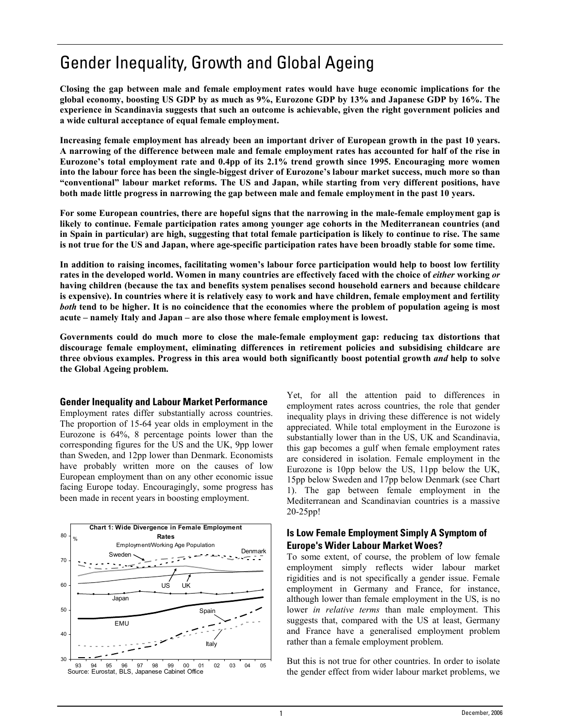# Gender Inequality, Growth and Global Ageing

**Closing the gap between male and female employment rates would have huge economic implications for the global economy, boosting US GDP by as much as 9%, Eurozone GDP by 13% and Japanese GDP by 16%. The experience in Scandinavia suggests that such an outcome is achievable, given the right government policies and a wide cultural acceptance of equal female employment.** 

**Increasing female employment has already been an important driver of European growth in the past 10 years. A narrowing of the difference between male and female employment rates has accounted for half of the rise in**  Eurozone's total employment rate and 0.4pp of its 2.1% trend growth since 1995. Encouraging more women into the labour force has been the single-biggest driver of Eurozone's labour market success, much more so than **ìconventionalî labour market reforms. The US and Japan, while starting from very different positions, have both made little progress in narrowing the gap between male and female employment in the past 10 years.** 

**For some European countries, there are hopeful signs that the narrowing in the male-female employment gap is likely to continue. Female participation rates among younger age cohorts in the Mediterranean countries (and in Spain in particular) are high, suggesting that total female participation is likely to continue to rise. The same is not true for the US and Japan, where age-specific participation rates have been broadly stable for some time.** 

In addition to raising incomes, facilitating women's labour force participation would help to boost low fertility **rates in the developed world. Women in many countries are effectively faced with the choice of** *either* **working** *or*  **having children (because the tax and benefits system penalises second household earners and because childcare is expensive). In countries where it is relatively easy to work and have children, female employment and fertility**  *both* **tend to be higher. It is no coincidence that the economies where the problem of population ageing is most**  acute – namely Italy and Japan – are also those where female employment is lowest.

**Governments could do much more to close the male-female employment gap: reducing tax distortions that discourage female employment, eliminating differences in retirement policies and subsidising childcare are three obvious examples. Progress in this area would both significantly boost potential growth** *and* **help to solve the Global Ageing problem.** 

### **Gender Inequality and Labour Market Performance**

Employment rates differ substantially across countries. The proportion of 15-64 year olds in employment in the Eurozone is 64%, 8 percentage points lower than the corresponding figures for the US and the UK, 9pp lower than Sweden, and 12pp lower than Denmark. Economists have probably written more on the causes of low European employment than on any other economic issue facing Europe today. Encouragingly, some progress has been made in recent years in boosting employment.



Yet, for all the attention paid to differences in employment rates across countries, the role that gender inequality plays in driving these difference is not widely appreciated. While total employment in the Eurozone is substantially lower than in the US, UK and Scandinavia, this gap becomes a gulf when female employment rates are considered in isolation. Female employment in the Eurozone is 10pp below the US, 11pp below the UK, 15pp below Sweden and 17pp below Denmark (see Chart 1). The gap between female employment in the Mediterranean and Scandinavian countries is a massive 20-25pp!

## **Is Low Female Employment Simply A Symptom of Europe's Wider Labour Market Woes?**

To some extent, of course, the problem of low female employment simply reflects wider labour market rigidities and is not specifically a gender issue. Female employment in Germany and France, for instance, although lower than female employment in the US, is no lower *in relative terms* than male employment. This suggests that, compared with the US at least, Germany and France have a generalised employment problem rather than a female employment problem.

But this is not true for other countries. In order to isolate the gender effect from wider labour market problems, we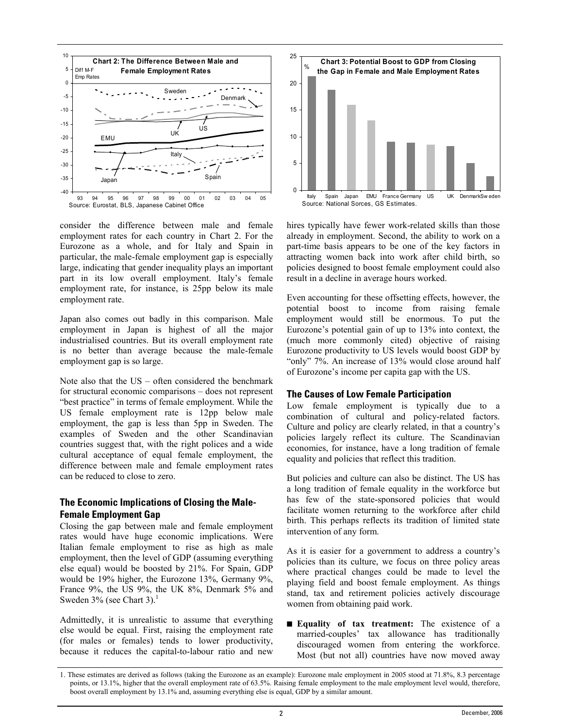

consider the difference between male and female employment rates for each country in Chart 2. For the Eurozone as a whole, and for Italy and Spain in particular, the male-female employment gap is especially large, indicating that gender inequality plays an important part in its low overall employment. Italy's female employment rate, for instance, is 25pp below its male employment rate.

Japan also comes out badly in this comparison. Male employment in Japan is highest of all the major industrialised countries. But its overall employment rate is no better than average because the male-female employment gap is so large.

Note also that the  $US -$  often considered the benchmark for structural economic comparisons – does not represent "best practice" in terms of female employment. While the US female employment rate is 12pp below male employment, the gap is less than 5pp in Sweden. The examples of Sweden and the other Scandinavian countries suggest that, with the right polices and a wide cultural acceptance of equal female employment, the difference between male and female employment rates can be reduced to close to zero.

## **The Economic Implications of Closing the Male-Female Employment Gap**

Closing the gap between male and female employment rates would have huge economic implications. Were Italian female employment to rise as high as male employment, then the level of GDP (assuming everything else equal) would be boosted by 21%. For Spain, GDP would be 19% higher, the Eurozone 13%, Germany 9%, France 9%, the US 9%, the UK 8%, Denmark 5% and Sweden  $3\%$  (see Chart 3).<sup>1</sup>

Admittedly, it is unrealistic to assume that everything else would be equal. First, raising the employment rate (for males or females) tends to lower productivity, because it reduces the capital-to-labour ratio and new



hires typically have fewer work-related skills than those already in employment. Second, the ability to work on a part-time basis appears to be one of the key factors in attracting women back into work after child birth, so policies designed to boost female employment could also result in a decline in average hours worked.

Even accounting for these offsetting effects, however, the potential boost to income from raising female employment would still be enormous. To put the Eurozone's potential gain of up to  $13\%$  into context, the (much more commonly cited) objective of raising Eurozone productivity to US levels would boost GDP by "only" 7%. An increase of 13% would close around half of Eurozone's income per capita gap with the US.

### **The Causes of Low Female Participation**

Low female employment is typically due to a combination of cultural and policy-related factors. Culture and policy are clearly related, in that a country's policies largely reflect its culture. The Scandinavian economies, for instance, have a long tradition of female equality and policies that reflect this tradition.

But policies and culture can also be distinct. The US has a long tradition of female equality in the workforce but has few of the state-sponsored policies that would facilitate women returning to the workforce after child birth. This perhaps reflects its tradition of limited state intervention of any form.

As it is easier for a government to address a country's policies than its culture, we focus on three policy areas where practical changes could be made to level the playing field and boost female employment. As things stand, tax and retirement policies actively discourage women from obtaining paid work.

■ **Equality of tax treatment:** The existence of a married-couples' tax allowance has traditionally discouraged women from entering the workforce. Most (but not all) countries have now moved away

<sup>1.</sup> These estimates are derived as follows (taking the Eurozone as an example): Eurozone male employment in 2005 stood at 71.8%, 8.3 percentage points, or 13.1%, higher that the overall employment rate of 63.5%. Raising female employment to the male employment level would, therefore, boost overall employment by 13.1% and, assuming everything else is equal, GDP by a similar amount.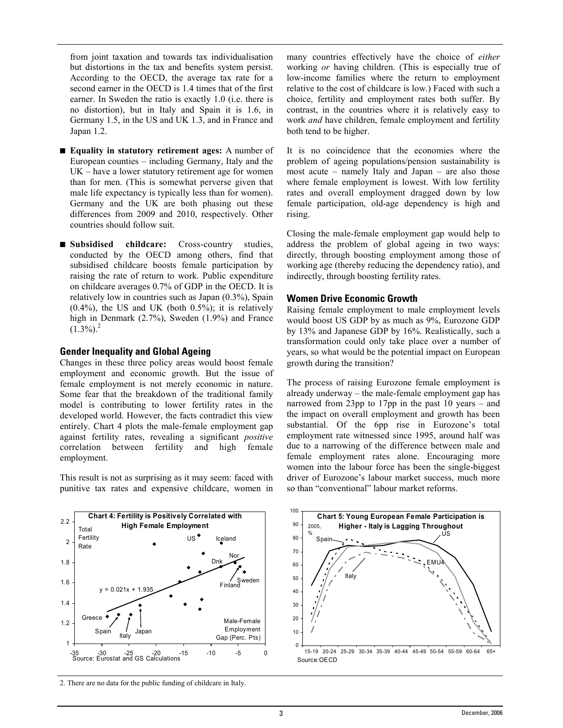from joint taxation and towards tax individualisation but distortions in the tax and benefits system persist. According to the OECD, the average tax rate for a second earner in the OECD is 1.4 times that of the first earner. In Sweden the ratio is exactly 1.0 (i.e. there is no distortion), but in Italy and Spain it is 1.6, in Germany 1.5, in the US and UK 1.3, and in France and Japan 1.2.

- **Equality in statutory retirement ages:** A number of European counties  $-$  including Germany, Italy and the  $UK$  – have a lower statutory retirement age for women than for men. (This is somewhat perverse given that male life expectancy is typically less than for women). Germany and the UK are both phasing out these differences from 2009 and 2010, respectively. Other countries should follow suit.
- **Subsidised childcare:** Cross-country studies, conducted by the OECD among others, find that subsidised childcare boosts female participation by raising the rate of return to work. Public expenditure on childcare averages 0.7% of GDP in the OECD. It is relatively low in countries such as Japan (0.3%), Spain  $(0.4\%)$ , the US and UK (both 0.5%); it is relatively high in Denmark (2.7%), Sweden (1.9%) and France  $(1.3\%)$ <sup>2</sup>

#### **Gender Inequality and Global Ageing**

Changes in these three policy areas would boost female employment and economic growth. But the issue of female employment is not merely economic in nature. Some fear that the breakdown of the traditional family model is contributing to lower fertility rates in the developed world. However, the facts contradict this view entirely. Chart 4 plots the male-female employment gap against fertility rates, revealing a significant *positive*  correlation between fertility and high female employment.

This result is not as surprising as it may seem: faced with punitive tax rates and expensive childcare, women in many countries effectively have the choice of *either*  working *or* having children. (This is especially true of low-income families where the return to employment relative to the cost of childcare is low.) Faced with such a choice, fertility and employment rates both suffer. By contrast, in the countries where it is relatively easy to work *and* have children, female employment and fertility both tend to be higher.

It is no coincidence that the economies where the problem of ageing populations/pension sustainability is most acute  $-$  namely Italy and Japan  $-$  are also those where female employment is lowest. With low fertility rates and overall employment dragged down by low female participation, old-age dependency is high and rising.

Closing the male-female employment gap would help to address the problem of global ageing in two ways: directly, through boosting employment among those of working age (thereby reducing the dependency ratio), and indirectly, through boosting fertility rates.

#### **Women Drive Economic Growth**

Raising female employment to male employment levels would boost US GDP by as much as 9%, Eurozone GDP by 13% and Japanese GDP by 16%. Realistically, such a transformation could only take place over a number of years, so what would be the potential impact on European growth during the transition?

The process of raising Eurozone female employment is already underway  $-$  the male-female employment gap has narrowed from 23pp to 17pp in the past 10 years  $-$  and the impact on overall employment and growth has been substantial. Of the 6pp rise in Eurozone's total employment rate witnessed since 1995, around half was due to a narrowing of the difference between male and female employment rates alone. Encouraging more women into the labour force has been the single-biggest driver of Eurozone's labour market success, much more so than "conventional" labour market reforms.





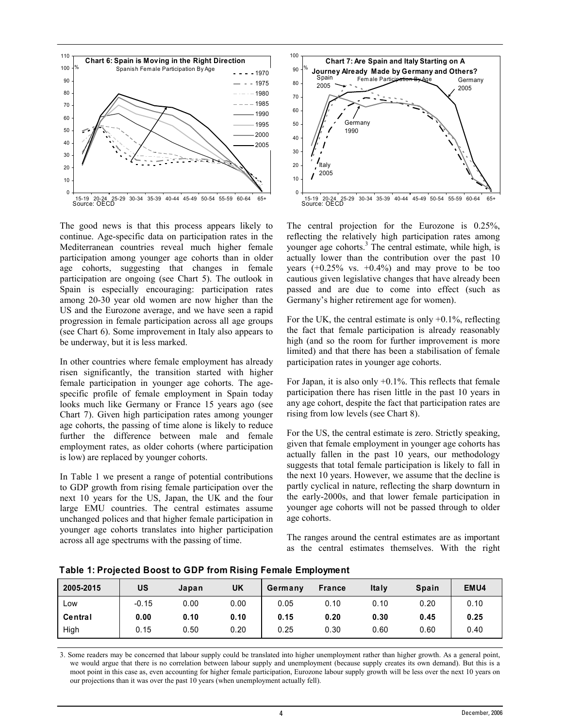

The good news is that this process appears likely to continue. Age-specific data on participation rates in the Mediterranean countries reveal much higher female participation among younger age cohorts than in older age cohorts, suggesting that changes in female participation are ongoing (see Chart 5). The outlook in Spain is especially encouraging: participation rates among 20-30 year old women are now higher than the US and the Eurozone average, and we have seen a rapid progression in female participation across all age groups (see Chart 6). Some improvement in Italy also appears to be underway, but it is less marked.

In other countries where female employment has already risen significantly, the transition started with higher female participation in younger age cohorts. The agespecific profile of female employment in Spain today looks much like Germany or France 15 years ago (see Chart 7). Given high participation rates among younger age cohorts, the passing of time alone is likely to reduce further the difference between male and female employment rates, as older cohorts (where participation is low) are replaced by younger cohorts.

In Table 1 we present a range of potential contributions to GDP growth from rising female participation over the next 10 years for the US, Japan, the UK and the four large EMU countries. The central estimates assume unchanged polices and that higher female participation in younger age cohorts translates into higher participation across all age spectrums with the passing of time.



The central projection for the Eurozone is 0.25%, reflecting the relatively high participation rates among younger age cohorts.<sup>3</sup> The central estimate, while high, is actually lower than the contribution over the past 10 years  $(+0.25\% \text{ vs. } +0.4\%)$  and may prove to be too cautious given legislative changes that have already been passed and are due to come into effect (such as Germany's higher retirement age for women).

For the UK, the central estimate is only  $+0.1\%$ , reflecting the fact that female participation is already reasonably high (and so the room for further improvement is more limited) and that there has been a stabilisation of female participation rates in younger age cohorts.

For Japan, it is also only +0.1%. This reflects that female participation there has risen little in the past 10 years in any age cohort, despite the fact that participation rates are rising from low levels (see Chart 8).

For the US, the central estimate is zero. Strictly speaking, given that female employment in younger age cohorts has actually fallen in the past 10 years, our methodology suggests that total female participation is likely to fall in the next 10 years. However, we assume that the decline is partly cyclical in nature, reflecting the sharp downturn in the early-2000s, and that lower female participation in younger age cohorts will not be passed through to older age cohorts.

The ranges around the central estimates are as important as the central estimates themselves. With the right

| 2005-2015 | US      | Japan | <b>UK</b> | Germany | <b>France</b> | Italy | Spain | EMU4 |
|-----------|---------|-------|-----------|---------|---------------|-------|-------|------|
| LOW       | $-0.15$ | 0.00  | 0.00      | 0.05    | 0.10          | 0.10  | 0.20  | 0.10 |
| Central   | 0.00    | 0.10  | 0.10      | 0.15    | 0.20          | 0.30  | 0.45  | 0.25 |
| High      | 0.15    | 0.50  | 0.20      | 0.25    | 0.30          | 0.60  | 0.60  | 0.40 |

**Table 1: Projected Boost to GDP from Rising Female Employment**

3. Some readers may be concerned that labour supply could be translated into higher unemployment rather than higher growth. As a general point, we would argue that there is no correlation between labour supply and unemployment (because supply creates its own demand). But this is a moot point in this case as, even accounting for higher female participation, Eurozone labour supply growth will be less over the next 10 years on our projections than it was over the past 10 years (when unemployment actually fell).